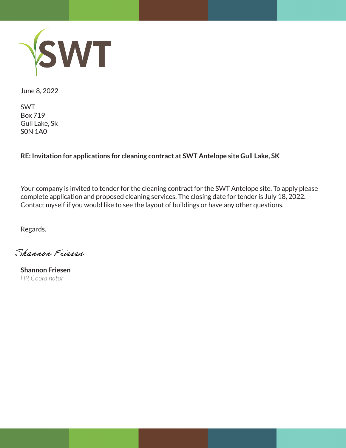

June 8, 2022

SWT Box 719 Gull Lake, Sk S0N 1A0

**RE: Invitation for applications for cleaning contract at SWT Antelope site Gull Lake, SK**

Your company is invited to tender for the cleaning contract for the SWT Antelope site. To apply please complete application and proposed cleaning services. The closing date for tender is July 18, 2022. Contact myself if you would like to see the layout of buildings or have any other questions.

Regards,

Shannon Friesen

**Shannon Friesen** *HR Coordinator*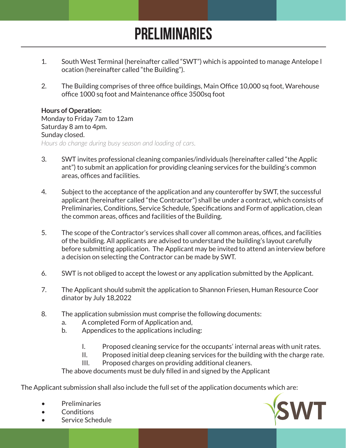# **PRELIMINARIES**

- 1. South West Terminal (hereinafter called "SWT") which is appointed to manage Antelope l ocation (hereinafter called "the Building").
- 2. The Building comprises of three office buildings, Main Office 10,000 sq foot, Warehouse office 1000 sq foot and Maintenance office 3500sq foot

**Hours of Operation:** Monday to Friday 7am to 12am Saturday 8 am to 4pm. Sunday closed. *Hours do change during busy season and loading of cars.*

- 3. SWT invites professional cleaning companies/individuals (hereinafter called "the Applic ant") to submit an application for providing cleaning services for the building's common areas, offices and facilities.
- 4. Subject to the acceptance of the application and any counteroffer by SWT, the successful applicant (hereinafter called "the Contractor") shall be under a contract, which consists of Preliminaries, Conditions, Service Schedule, Specifications and Form of application, clean the common areas, offices and facilities of the Building.
- 5. The scope of the Contractor's services shall cover all common areas, offices, and facilities of the building. All applicants are advised to understand the building's layout carefully before submitting application. The Applicant may be invited to attend an interview before a decision on selecting the Contractor can be made by SWT.
- 6. SWT is not obliged to accept the lowest or any application submitted by the Applicant.
- 7. The Applicant should submit the application to Shannon Friesen, Human Resource Coor dinator by July 18,2022
- 8. The application submission must comprise the following documents:
	- a. A completed Form of Application and,
	- b. Appendices to the applications including:
		- I. Proposed cleaning service for the occupants' internal areas with unit rates.
		- II. Proposed initial deep cleaning services for the building with the charge rate.
		- III. Proposed charges on providing additional cleaners.

The above documents must be duly filled in and signed by the Applicant

The Applicant submission shall also include the full set of the application documents which are:

- **Preliminaries**
- Conditions
- Service Schedule

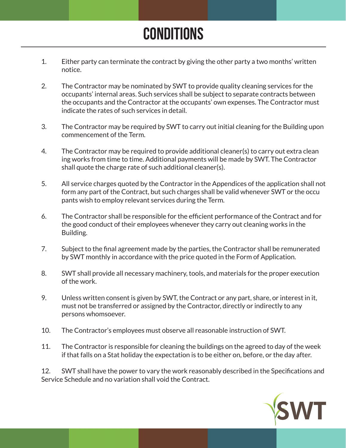## **CONDITIONS**

- 1. Either party can terminate the contract by giving the other party a two months' written notice.
- 2. The Contractor may be nominated by SWT to provide quality cleaning services for the occupants' internal areas. Such services shall be subject to separate contracts between the occupants and the Contractor at the occupants' own expenses. The Contractor must indicate the rates of such services in detail.
- 3. The Contractor may be required by SWT to carry out initial cleaning for the Building upon commencement of the Term.
- 4. The Contractor may be required to provide additional cleaner(s) to carry out extra clean ing works from time to time. Additional payments will be made by SWT. The Contractor shall quote the charge rate of such additional cleaner(s).
- 5. All service charges quoted by the Contractor in the Appendices of the application shall not form any part of the Contract, but such charges shall be valid whenever SWT or the occu pants wish to employ relevant services during the Term.
- 6. The Contractor shall be responsible for the efficient performance of the Contract and for the good conduct of their employees whenever they carry out cleaning works in the Building.
- 7. Subject to the final agreement made by the parties, the Contractor shall be remunerated by SWT monthly in accordance with the price quoted in the Form of Application.
- 8. SWT shall provide all necessary machinery, tools, and materials for the proper execution of the work.
- 9. Unless written consent is given by SWT, the Contract or any part, share, or interest in it, must not be transferred or assigned by the Contractor, directly or indirectly to any persons whomsoever.
- 10. The Contractor's employees must observe all reasonable instruction of SWT.
- 11. The Contractor is responsible for cleaning the buildings on the agreed to day of the week if that falls on a Stat holiday the expectation is to be either on, before, or the day after.

 12. SWT shall have the power to vary the work reasonably described in the Specifications and Service Schedule and no variation shall void the Contract.

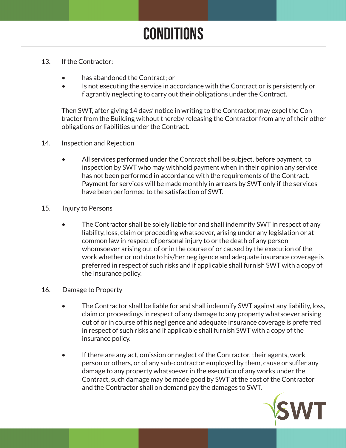# **CONDITIONS**

#### 13. If the Contractor:

- has abandoned the Contract; or
- Is not executing the service in accordance with the Contract or is persistently or flagrantly neglecting to carry out their obligations under the Contract.

 Then SWT, after giving 14 days' notice in writing to the Contractor, may expel the Con tractor from the Building without thereby releasing the Contractor from any of their other obligations or liabilities under the Contract.

- 14. Inspection and Rejection
	- All services performed under the Contract shall be subject, before payment, to inspection by SWT who may withhold payment when in their opinion any service has not been performed in accordance with the requirements of the Contract. Payment for services will be made monthly in arrears by SWT only if the services have been performed to the satisfaction of SWT.
- 15. Injury to Persons
	- The Contractor shall be solely liable for and shall indemnify SWT in respect of any liability, loss, claim or proceeding whatsoever, arising under any legislation or at common law in respect of personal injury to or the death of any person whomsoever arising out of or in the course of or caused by the execution of the work whether or not due to his/her negligence and adequate insurance coverage is preferred in respect of such risks and if applicable shall furnish SWT with a copy of the insurance policy.
- 16. Damage to Property
	- The Contractor shall be liable for and shall indemnify SWT against any liability, loss, claim or proceedings in respect of any damage to any property whatsoever arising out of or in course of his negligence and adequate insurance coverage is preferred in respect of such risks and if applicable shall furnish SWT with a copy of the insurance policy.
	- If there are any act, omission or neglect of the Contractor, their agents, work person or others, or of any sub-contractor employed by them, cause or suffer any damage to any property whatsoever in the execution of any works under the Contract, such damage may be made good by SWT at the cost of the Contractor and the Contractor shall on demand pay the damages to SWT.

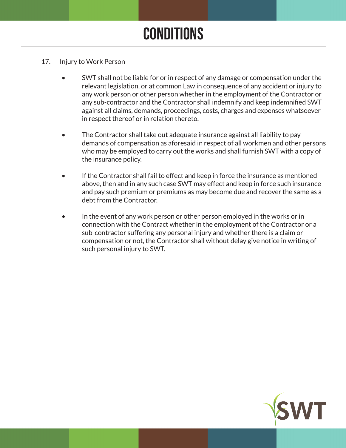# **CONDITIONS**

#### 17. Injury to Work Person

- SWT shall not be liable for or in respect of any damage or compensation under the relevant legislation, or at common Law in consequence of any accident or injury to any work person or other person whether in the employment of the Contractor or any sub-contractor and the Contractor shall indemnify and keep indemnified SWT against all claims, demands, proceedings, costs, charges and expenses whatsoever in respect thereof or in relation thereto.
- The Contractor shall take out adequate insurance against all liability to pay demands of compensation as aforesaid in respect of all workmen and other persons who may be employed to carry out the works and shall furnish SWT with a copy of the insurance policy.
- If the Contractor shall fail to effect and keep in force the insurance as mentioned above, then and in any such case SWT may effect and keep in force such insurance and pay such premium or premiums as may become due and recover the same as a debt from the Contractor.
- In the event of any work person or other person employed in the works or in connection with the Contract whether in the employment of the Contractor or a sub-contractor suffering any personal injury and whether there is a claim or compensation or not, the Contractor shall without delay give notice in writing of such personal injury to SWT.

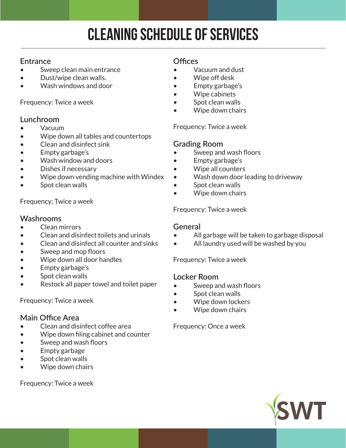# **CLEANING SCHEDULE OF SERVICES**

## **Entrance**

- Sweep clean main entrance
- Dust/wipe clean walls.
- Wash windows and door

Frequency: Twice a week

## **Lunchroom**

- Vacuum
- Wipe down all tables and countertops
- Clean and disinfect sink
- Empty garbage's
- Wash window and doors
- Dishes if necessary
- Wipe down vending machine with Windex
- Spot clean walls

Frequency: Twice a week

## **Washrooms**

- Clean mirrors
- Clean and disinfect toilets and urinals
- Clean and disinfect all counter and sinks
- Sweep and mop floors
- Wipe down all door handles
- Empty garbage's
- Spot clean walls
- Restock all paper towel and toilet paper

### Frequency: Twice a week

### **Main Office Area**

- Clean and disinfect coffee area
- Wipe down filing cabinet and counter
- Sweep and wash floors
- Empty garbage
- Spot clean walls
- Wipe down chairs

Frequency: Twice a week

### **Offices**

- Vacuum and dust
- Wipe off desk
- Empty garbage's
- Wipe cabinets
- Spot clean walls
- Wipe down chairs

Frequency: Twice a week

## **Grading Room**

- Sweep and wash floors
- Empty garbage's
- Wipe all counters
- Wash down door leading to driveway
- Spot clean walls
- Wipe down chairs

### Frequency: Twice a week

### **General**

- All garbage will be taken to garbage disposal
- All laundry used will be washed by you

Frequency: Twice a week

### **Locker Room**

- Sweep and wash floors
- Spot clean walls
- Wipe down lockers
- Wipe down chairs

Frequency: Once a week

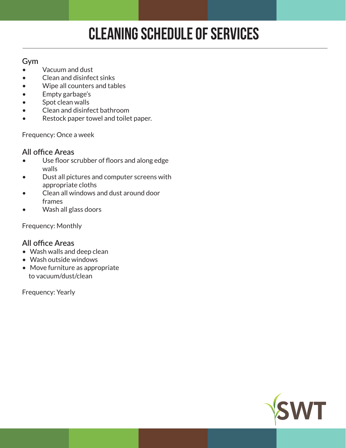## **CLEANING SCHEDULE OF SERVICES**

### **Gym**

- Vacuum and dust
- Clean and disinfect sinks
- Wipe all counters and tables
- Empty garbage's
- Spot clean walls
- Clean and disinfect bathroom
- Restock paper towel and toilet paper.

Frequency: Once a week

## **All office Areas**

- Use floor scrubber of floors and along edge walls
- Dust all pictures and computer screens with appropriate cloths
- Clean all windows and dust around door frames
- Wash all glass doors

Frequency: Monthly

## **All office Areas**

- Wash walls and deep clean
- Wash outside windows
- Move furniture as appropriate to vacuum/dust/clean

Frequency: Yearly

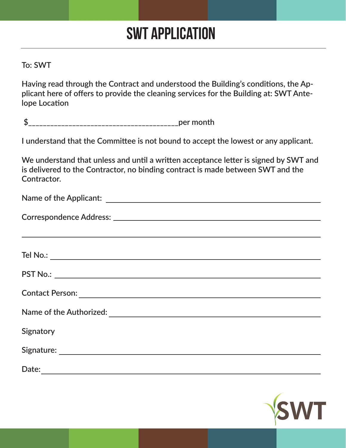## **SWT Application**

## **To: SWT**

**Having read through the Contract and understood the Building's conditions, the Applicant here of offers to provide the cleaning services for the Building at: SWT Antelope Location**

|  | nor month |
|--|-----------|
|--|-----------|

**I understand that the Committee is not bound to accept the lowest or any applicant.**

**We understand that unless and until a written acceptance letter is signed by SWT and is delivered to the Contractor, no binding contract is made between SWT and the Contractor.**

| ,我们也不会有什么。""我们的人,我们也不会有什么?""我们的人,我们也不会有什么?""我们的人,我们也不会有什么?""我们的人,我们也不会有什么?""我们的人 |
|----------------------------------------------------------------------------------|
|                                                                                  |
|                                                                                  |
|                                                                                  |
|                                                                                  |
| <b>Signatory</b>                                                                 |
|                                                                                  |
|                                                                                  |